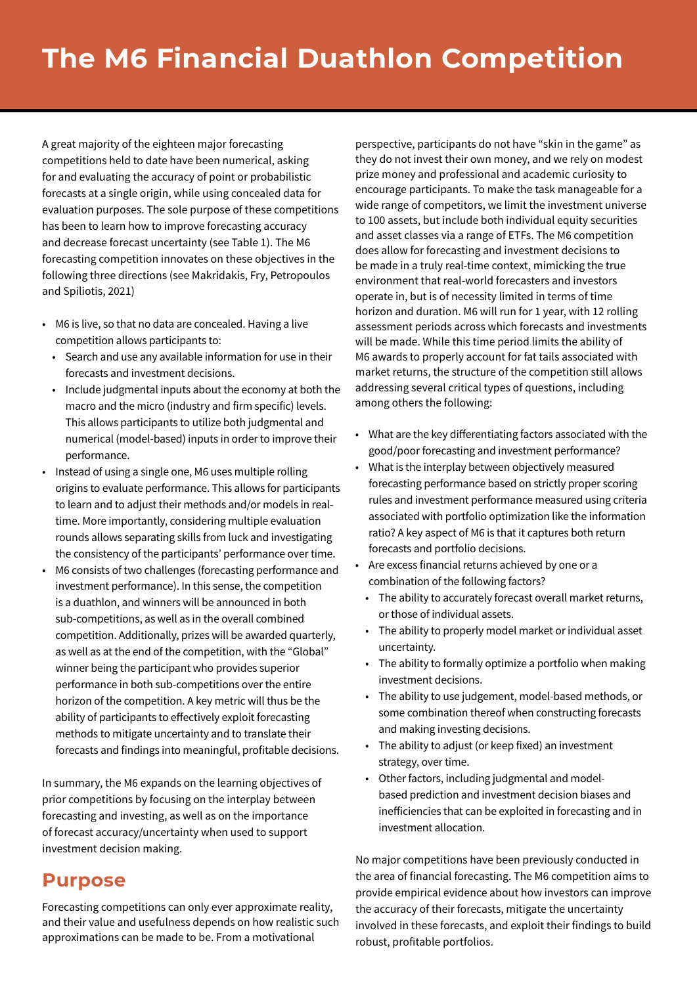A great majority of the eighteen major forecasting competitions held to date have been numerical, asking for and evaluating the accuracy of point or probabilistic forecasts at a single origin, while using concealed data for evaluation purposes. The sole purpose of these competitions has been to learn how to improve forecasting accuracy and decrease forecast uncertainty (see Table 1). The M6 forecasting competition innovates on these objectives in the following three directions (see Makridakis, Fry, Petropoulos and Spiliotis, 2021)

- M6 is live, so that no data are concealed. Having a live competition allows participants to:
	- Search and use any available information for use in their forecasts and investment decisions.
	- Include judgmental inputs about the economy at both the macro and the micro (industry and firm specific) levels. This allows participants to utilize both judgmental and numerical (model-based) inputs in order to improve their performance.
- Instead of using a single one, M6 uses multiple rolling origins to evaluate performance. This allows for participants to learn and to adjust their methods and/or models in realtime. More importantly, considering multiple evaluation rounds allows separating skills from luck and investigating the consistency of the participants' performance over time.
- M6 consists of two challenges (forecasting performance and investment performance). In this sense, the competition is a duathlon, and winners will be announced in both sub-competitions, as well as in the overall combined competition. Additionally, prizes will be awarded quarterly, as well as at the end of the competition, with the "Global" winner being the participant who provides superior performance in both sub-competitions over the entire horizon of the competition. A key metric will thus be the ability of participants to effectively exploit forecasting methods to mitigate uncertainty and to translate their forecasts and findings into meaningful, profitable decisions.

In summary, the M6 expands on the learning objectives of prior competitions by focusing on the interplay between forecasting and investing, as well as on the importance of forecast accuracy/uncertainty when used to support investment decision making.

#### **Purpose**

Forecasting competitions can only ever approximate reality, and their value and usefulness depends on how realistic such approximations can be made to be. From a motivational

perspective, participants do not have "skin in the game" as they do not invest their own money, and we rely on modest prize money and professional and academic curiosity to encourage participants. To make the task manageable for a wide range of competitors, we limit the investment universe to 100 assets, but include both individual equity securities and asset classes via a range of ETFs. The M6 competition does allow for forecasting and investment decisions to be made in a truly real-time context, mimicking the true environment that real-world forecasters and investors operate in, but is of necessity limited in terms of time horizon and duration. M6 will run for 1 year, with 12 rolling assessment periods across which forecasts and investments will be made. While this time period limits the ability of M6 awards to properly account for fat tails associated with market returns, the structure of the competition still allows addressing several critical types of questions, including among others the following:

- What are the key differentiating factors associated with the good/poor forecasting and investment performance?
- What is the interplay between objectively measured forecasting performance based on strictly proper scoring rules and investment performance measured using criteria associated with portfolio optimization like the information ratio? A key aspect of M6 is that it captures both return forecasts and portfolio decisions.
- Are excess financial returns achieved by one or a combination of the following factors?
	- The ability to accurately forecast overall market returns, or those of individual assets.
	- The ability to properly model market or individual asset uncertainty.
	- The ability to formally optimize a portfolio when making investment decisions.
	- The ability to use judgement, model-based methods, or some combination thereof when constructing forecasts and making investing decisions.
	- The ability to adjust (or keep fixed) an investment strategy, over time.
	- Other factors, including judgmental and modelbased prediction and investment decision biases and inefficiencies that can be exploited in forecasting and in investment allocation.

No major competitions have been previously conducted in the area of financial forecasting. The M6 competition aims to provide empirical evidence about how investors can improve the accuracy of their forecasts, mitigate the uncertainty involved in these forecasts, and exploit their findings to build robust, profitable portfolios.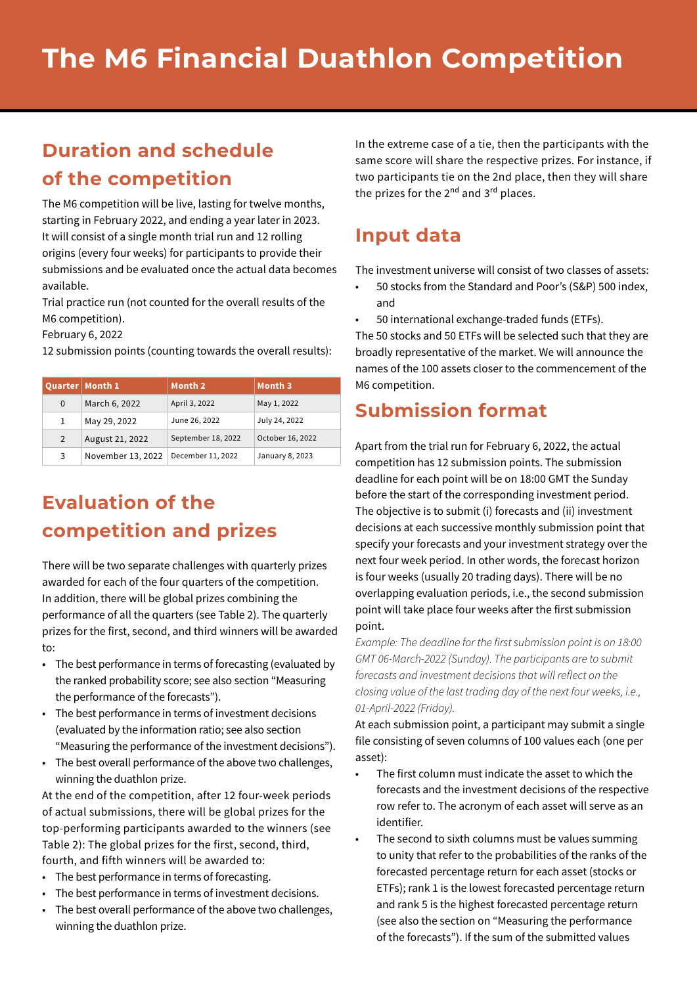## **Duration and schedule of the competition**

The M6 competition will be live, lasting for twelve months, starting in February 2022, and ending a year later in 2023. It will consist of a single month trial run and 12 rolling origins (every four weeks) for participants to provide their submissions and be evaluated once the actual data becomes available.

Trial practice run (not counted for the overall results of the M6 competition).

February 6, 2022

12 submission points (counting towards the overall results):

|   | Quarter   Month 1 | Month 2            | Month 3          |
|---|-------------------|--------------------|------------------|
| 0 | March 6, 2022     | April 3, 2022      | May 1, 2022      |
| 1 | May 29, 2022      | June 26, 2022      | July 24, 2022    |
| 2 | August 21, 2022   | September 18, 2022 | October 16, 2022 |
| 3 | November 13, 2022 | December 11, 2022  | January 8, 2023  |

# **Evaluation of the competition and prizes**

There will be two separate challenges with quarterly prizes awarded for each of the four quarters of the competition. In addition, there will be global prizes combining the performance of all the quarters (see Table 2). The quarterly prizes for the first, second, and third winners will be awarded to:

- The best performance in terms of forecasting (evaluated by the ranked probability score; see also section "Measuring the performance of the forecasts").
- The best performance in terms of investment decisions (evaluated by the information ratio; see also section "Measuring the performance of the investment decisions").
- The best overall performance of the above two challenges, winning the duathlon prize.

At the end of the competition, after 12 four-week periods of actual submissions, there will be global prizes for the top-performing participants awarded to the winners (see Table 2): The global prizes for the first, second, third, fourth, and fifth winners will be awarded to:

- The best performance in terms of forecasting.
- The best performance in terms of investment decisions.
- The best overall performance of the above two challenges, winning the duathlon prize.

In the extreme case of a tie, then the participants with the same score will share the respective prizes. For instance, if two participants tie on the 2nd place, then they will share the prizes for the  $2^{nd}$  and  $3^{rd}$  places.

#### **Input data**

The investment universe will consist of two classes of assets:

- 50 stocks from the Standard and Poor's (S&P) 500 index, and
- 50 international exchange-traded funds (ETFs).

The 50 stocks and 50 ETFs will be selected such that they are broadly representative of the market. We will announce the names of the 100 assets closer to the commencement of the M6 competition.

### **Submission format**

Apart from the trial run for February 6, 2022, the actual competition has 12 submission points. The submission deadline for each point will be on 18:00 GMT the Sunday before the start of the corresponding investment period. The objective is to submit (i) forecasts and (ii) investment decisions at each successive monthly submission point that specify your forecasts and your investment strategy over the next four week period. In other words, the forecast horizon is four weeks (usually 20 trading days). There will be no overlapping evaluation periods, i.e., the second submission point will take place four weeks after the first submission point.

*Example: The deadline for the first submission point is on 18:00 GMT 06-March-2022 (Sunday). The participants are to submit forecasts and investment decisions that will reflect on the closing value of the last trading day of the next four weeks, i.e., 01-April-2022 (Friday).*

At each submission point, a participant may submit a single file consisting of seven columns of 100 values each (one per asset):

- The first column must indicate the asset to which the forecasts and the investment decisions of the respective row refer to. The acronym of each asset will serve as an identifier.
- The second to sixth columns must be values summing to unity that refer to the probabilities of the ranks of the forecasted percentage return for each asset (stocks or ETFs); rank 1 is the lowest forecasted percentage return and rank 5 is the highest forecasted percentage return (see also the section on "Measuring the performance of the forecasts"). If the sum of the submitted values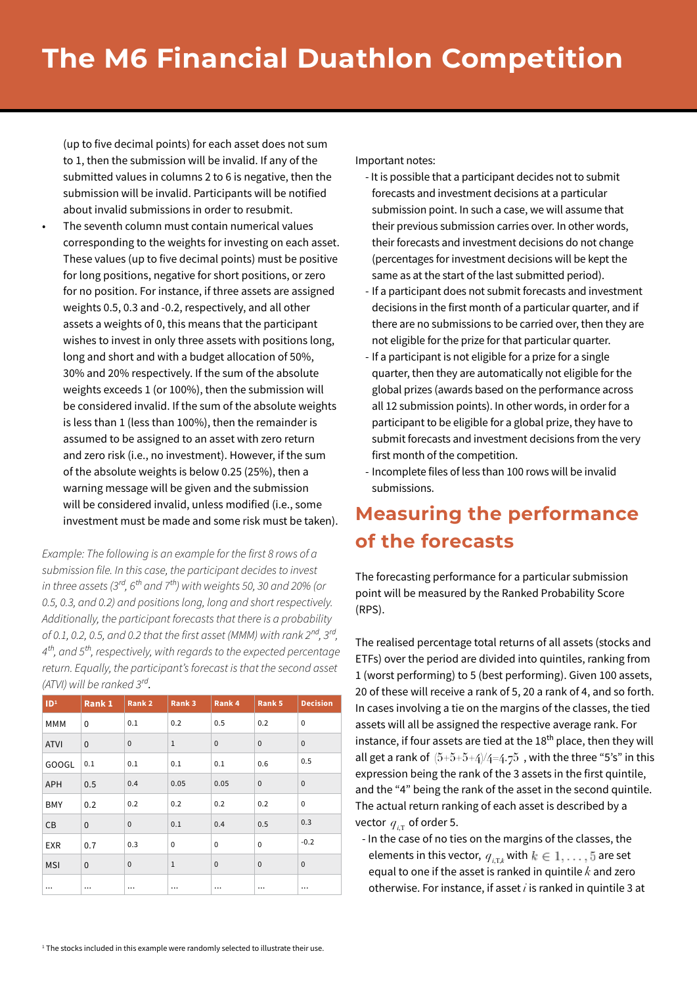(up to five decimal points) for each asset does not sum to 1, then the submission will be invalid. If any of the submitted values in columns 2 to 6 is negative, then the submission will be invalid. Participants will be notified about invalid submissions in order to resubmit.

The seventh column must contain numerical values corresponding to the weights for investing on each asset. These values (up to five decimal points) must be positive for long positions, negative for short positions, or zero for no position. For instance, if three assets are assigned weights 0.5, 0.3 and -0.2, respectively, and all other assets a weights of 0, this means that the participant wishes to invest in only three assets with positions long, long and short and with a budget allocation of 50%, 30% and 20% respectively. If the sum of the absolute weights exceeds 1 (or 100%), then the submission will be considered invalid. If the sum of the absolute weights is less than 1 (less than 100%), then the remainder is assumed to be assigned to an asset with zero return and zero risk (i.e., no investment). However, if the sum of the absolute weights is below 0.25 (25%), then a warning message will be given and the submission will be considered invalid, unless modified (i.e., some investment must be made and some risk must be taken).

*Example: The following is an example for the first 8 rows of a submission file. In this case, the participant decides to invest in three assets (3rd, 6th and 7th) with weights 50, 30 and 20% (or 0.5, 0.3, and 0.2) and positions long, long and short respectively. Additionally, the participant forecasts that there is a probability of 0.1, 0.2, 0.5, and 0.2 that the first asset (MMM) with rank 2nd, 3rd, 4th, and 5th, respectively, with regards to the expected percentage return. Equally, the participant's forecast is that the second asset (ATVI) will be ranked 3rd*.

| ID <sup>1</sup> | Rank 1       | Rank <sub>2</sub> | Rank 3       | Rank 4       | Rank 5       | <b>Decision</b> |
|-----------------|--------------|-------------------|--------------|--------------|--------------|-----------------|
| MMM             | 0            | 0.1               | 0.2          | 0.5          | 0.2          | $\Omega$        |
| <b>ATVI</b>     | $\mathbf{0}$ | $\mathbf{0}$      | $\,1\,$      | $\mathbf 0$  | $\mathbf{0}$ | $\mathbf{0}$    |
| GOOGL           | 0.1          | 0.1               | 0.1          | 0.1          | 0.6          | 0.5             |
| APH             | 0.5          | 0.4               | 0.05         | 0.05         | $\mathbf{0}$ | $\mathbf{0}$    |
| <b>BMY</b>      | 0.2          | 0.2               | 0.2          | 0.2          | 0.2          | $\Omega$        |
| CВ              | $\mathbf{0}$ | $\mathbf{0}$      | 0.1          | 0.4          | 0.5          | 0.3             |
| <b>EXR</b>      | 0.7          | 0.3               | $\mathbf 0$  | $\mathbf 0$  | $\mathbf 0$  | $-0.2$          |
| <b>MSI</b>      | $\mathbf{0}$ | $\mathbf{0}$      | $\mathbf{1}$ | $\mathbf{0}$ | $\mathbf{0}$ | $\mathbf{0}$    |
| $\cdots$        | $\cdots$     | $\ddotsc$         |              | $\cdots$     | $\cdots$     | $\cdots$        |

Important notes:

- It is possible that a participant decides not to submit forecasts and investment decisions at a particular submission point. In such a case, we will assume that their previous submission carries over. In other words, their forecasts and investment decisions do not change (percentages for investment decisions will be kept the same as at the start of the last submitted period).
- If a participant does not submit forecasts and investment decisions in the first month of a particular quarter, and if there are no submissions to be carried over, then they are not eligible for the prize for that particular quarter.
- If a participant is not eligible for a prize for a single quarter, then they are automatically not eligible for the global prizes (awards based on the performance across all 12 submission points). In other words, in order for a participant to be eligible for a global prize, they have to submit forecasts and investment decisions from the very first month of the competition.
- Incomplete files of less than 100 rows will be invalid submissions.

## **Measuring the performance of the forecasts**

The forecasting performance for a particular submission point will be measured by the Ranked Probability Score (RPS).

The realised percentage total returns of all assets (stocks and ETFs) over the period are divided into quintiles, ranking from 1 (worst performing) to 5 (best performing). Given 100 assets, 20 of these will receive a rank of 5, 20 a rank of 4, and so forth. In cases involving a tie on the margins of the classes, the tied assets will all be assigned the respective average rank. For instance, if four assets are tied at the 18<sup>th</sup> place, then they will all get a rank of  $(5+5+5+4)/4=4.75$ , with the three "5's" in this expression being the rank of the 3 assets in the first quintile, and the "4" being the rank of the asset in the second quintile. The actual return ranking of each asset is described by a vector  $q_{iT}$  of order 5.

- In the case of no ties on the margins of the classes, the elements in this vector,  $\,_{i,\texttt{T},k}$  with  $k\in{1,\dots,5}$  are set equal to one if the asset is ranked in quintile *k* and zero otherwise. For instance, if asset *i* is ranked in quintile 3 at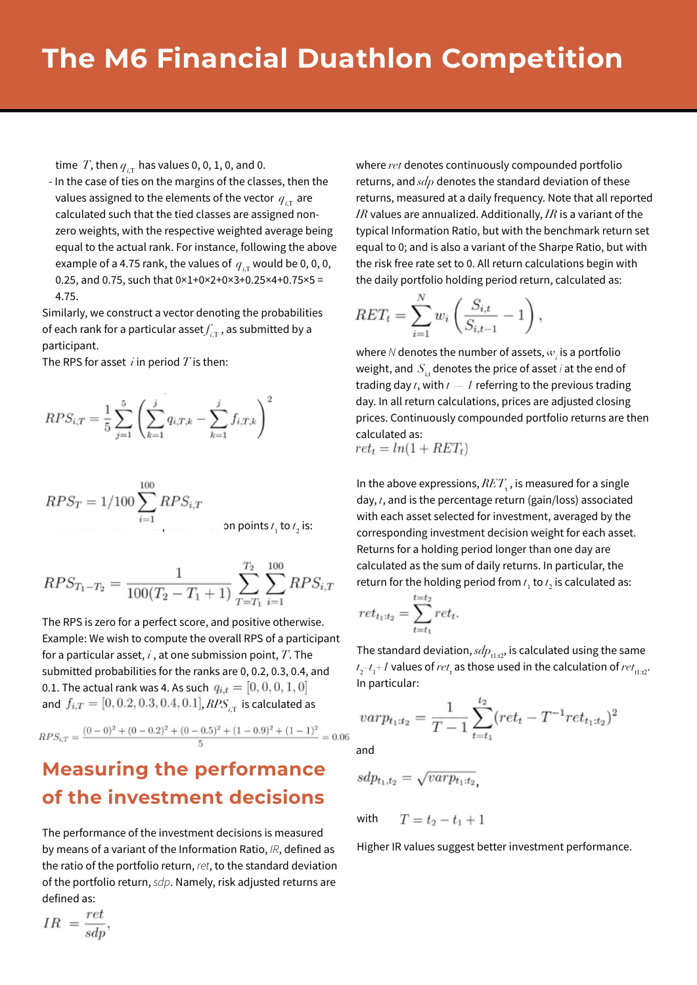time  $T$ , then  $q_{iT}$  has values 0, 0, 1, 0, and 0.

- In the case of ties on the margins of the classes, then the values assigned to the elements of the vector  $q_{\text{in}}$  are calculated such that the tied classes are assigned nonzero weights, with the respective weighted average being equal to the actual rank. For instance, following the above example of a 4.75 rank, the values of  $q_{iT}$  would be 0, 0, 0, 0.25, and 0.75, such that  $0 \times 1 + 0 \times 2 + 0 \times 3 + 0.25 \times 4 + 0.75 \times 5 =$ 4.75.

Similarly, we construct a vector denoting the probabilities of each rank for a particular asset  $f_{iT}$ , as submitted by a participant.

The RPS for asset *i* in period *T* is then:

$$
RPS_{i,T} = \frac{1}{5} \sum_{j=1}^{5} \left( \sum_{k=1}^{j} q_{i,T,k} - \sum_{k=1}^{j} f_{i,T,k} \right)^2
$$

$$
RPS_T = 1/100 \sum_{i=1}^{100} RPS_{i,T}
$$
  
............ on points  $t_1$  to  $t_2$  is:

$$
RPS_{T_1-T_2} = \frac{1}{100(T_2 - T_1 + 1)} \sum_{T=T_1}^{T_2} \sum_{i=1}^{100} RPS_{i,T}
$$

The RPS is zero for a perfect score, and positive otherwise. Example: We wish to compute the overall RPS of a participant for a particular asset, *i* , at one submission point, *T*. The submitted probabilities for the ranks are 0, 0.2, 0.3, 0.4, and 0.1. The actual rank was 4. As such  $q_{i,t} = [0, 0, 0, 1, 0]$ and  $f_{i,T} = [0, 0.2, 0.3, 0.4, 0.1]$ ,  $RPS_{i,T}$  is calculated as

$$
RPS_{i,T} = \frac{(0-0)^2 + (0-0.2)^2 + (0-0.5)^2 + (1-0.9)^2 + (1-1)^2}{5} = 0.06
$$

## **Measuring the performance of the investment decisions**

The performance of the investment decisions is measured by means of a variant of the Information Ratio, *IR*, defined as the ratio of the portfolio return, *ret*, to the standard deviation of the portfolio return, *sdp*. Namely, risk adjusted returns are defined as:

where *ret* denotes continuously compounded portfolio returns, and *sdp* denotes the standard deviation of these returns, measured at a daily frequency. Note that all reported *IR* values are annualized. Additionally, *IR* is a variant of the typical Information Ratio, but with the benchmark return set equal to 0; and is also a variant of the Sharpe Ratio, but with the risk free rate set to 0. All return calculations begin with the daily portfolio holding period return, calculated as:

$$
RET_t = \sum_{i=1}^{N} w_i \left( \frac{S_{i,t}}{S_{i,t-1}} - 1 \right),
$$

where  $N$  denotes the number of assets,  $w_{i}^{\phantom{\dag}}$  is a portfolio weight, and  $S_{i,t}$  denotes the price of asset *i* at the end of trading day *t*, with *t — 1* referring to the previous trading day. In all return calculations, prices are adjusted closing prices. Continuously compounded portfolio returns are then calculated as:  $ret_t = ln(1 + RET_t)$ 

In the above expressions,  $RET_{\rm t}$ , is measured for a single day, *t*, and is the percentage return (gain/loss) associated with each asset selected for investment, averaged by the corresponding investment decision weight for each asset. Returns for a holding period longer than one day are calculated as the sum of daily returns. In particular, the return for the holding period from  $t_1$  to  $t_2$  is calculated as:

$$
ret_{t_1:t_2} = \sum_{t=t_1}^{t=t_2} ret_t.
$$

The standard deviation,  $sdp_{t1:t2}$ , is calculated using the same  $t_2$ – $t_1$ + $1$  values of  $ret_{\rm t}$  as those used in the calculation of  $ret_{\rm t1:t2}.$ In particular:

$$
var p_{t_1:t_2} = \frac{1}{T-1} \sum_{t=t_1}^{t_2} (ret_t - T^{-1} ret_{t_1:t_2})^2
$$

and

$$
sdp_{t_1,t_2} = \sqrt{varp_{t_1:t_2}},
$$

 $T = t_2 - t_1 + 1$ with

Higher IR values suggest better investment performance.

$$
IR = \frac{ret}{sdp}
$$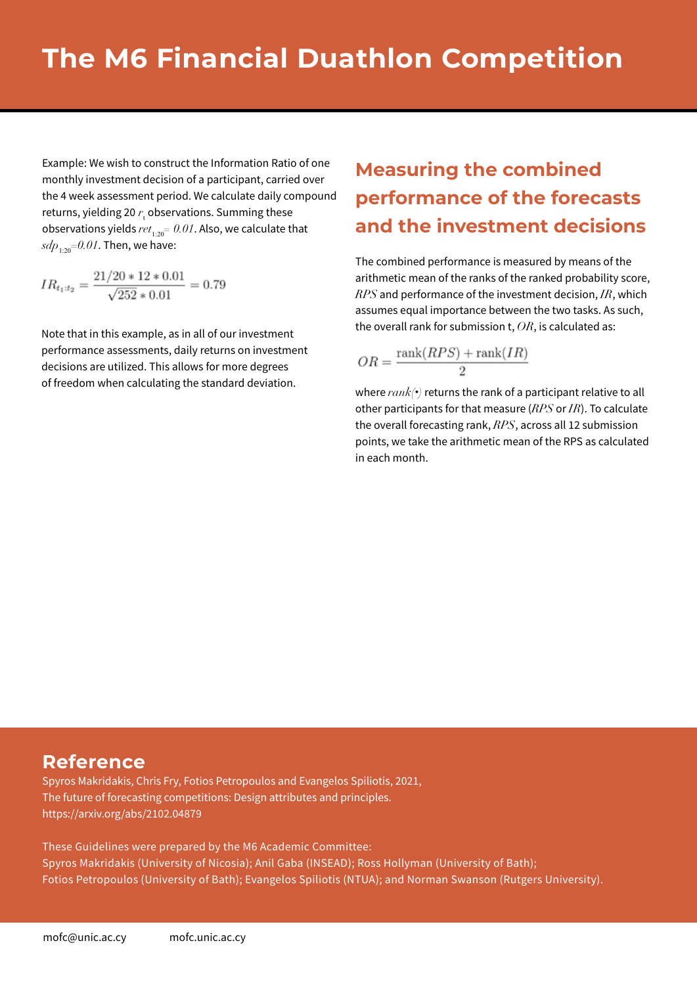Example: We wish to construct the Information Ratio of one monthly investment decision of a participant, carried over the 4 week assessment period. We calculate daily compound returns, yielding 20 r<sub>c</sub> observations. Summing these observations yields  $ret_{1:20} = 0.01$ . Also, we calculate that  $sdp_{1:20} = 0.01$ . Then, we have:

$$
IR_{t_1:t_2} = \frac{21/20 * 12 * 0.01}{\sqrt{252} * 0.01} = 0.79
$$

Note that in this example, as in all of our investment performance assessments, daily returns on investment decisions are utilized. This allows for more degrees of freedom when calculating the standard deviation.

## **Measuring the combined performance of the forecasts and the investment decisions**

The combined performance is measured by means of the arithmetic mean of the ranks of the ranked probability score, *RPS* and performance of the investment decision, *IR*, which assumes equal importance between the two tasks. As such, the overall rank for submission t, *OR*, is calculated as:

$$
OR = \frac{\operatorname{rank}(RPS) + \operatorname{rank}(IR)}{2}
$$

where *rank(***•***)* returns the rank of a participant relative to all other participants for that measure (*RPS* or *IR*). To calculate the overall forecasting rank, *RPS*, across all 12 submission points, we take the arithmetic mean of the RPS as calculated in each month.

#### **Reference**

Spyros Makridakis, Chris Fry, Fotios Petropoulos and Evangelos Spiliotis, 2021, The future of forecasting competitions: Design attributes and principles. https://arxiv.org/abs/2102.04879

These Guidelines were prepared by the M6 Academic Committee: Spyros Makridakis (University of Nicosia); Anil Gaba (INSEAD); Ross Hollyman (University of Bath); Fotios Petropoulos (University of Bath); Evangelos Spiliotis (NTUA); and Norman Swanson (Rutgers University).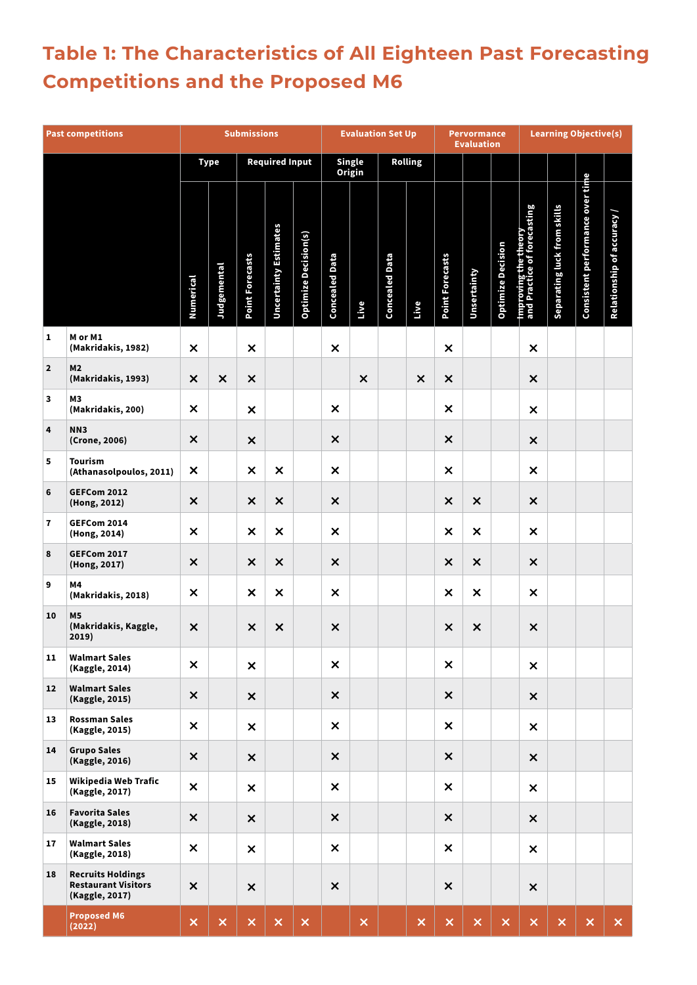# **Table 1: The Characteristics of All Eighteen Past Forecasting Competitions and the Proposed M6**

| <b>Past competitions</b> |                                                                          | <b>Submissions</b>        |                           |                           | <b>Evaluation Set Up</b>     |                             |                           | <b>Pervormance</b><br><b>Evaluation</b> |                       |                | <b>Learning Objective(s)</b> |                           |                          |                                                     |                             |                                  |                          |
|--------------------------|--------------------------------------------------------------------------|---------------------------|---------------------------|---------------------------|------------------------------|-----------------------------|---------------------------|-----------------------------------------|-----------------------|----------------|------------------------------|---------------------------|--------------------------|-----------------------------------------------------|-----------------------------|----------------------------------|--------------------------|
|                          |                                                                          |                           | <b>Type</b>               |                           | <b>Required Input</b>        |                             |                           | <b>Single</b><br>Origin                 |                       | Rolling        |                              |                           |                          |                                                     |                             |                                  |                          |
|                          |                                                                          | Numerical                 | Judgemental               | <b>Point Forecasts</b>    | <b>Uncertainty Estimates</b> | <b>Optimize Decision(s)</b> | <b>Concealed Data</b>     | Live                                    | <b>Concealed Data</b> | Live           | <b>Point Forecasts</b>       | Unsertainty               | <b>Optimize Decision</b> | Improving the theory<br>and Practice of forecasting | Separating luck from skills | Consistent performance over time | Relationship of accuracy |
| 1                        | M or M1<br>(Makridakis, 1982)                                            | $\pmb{\times}$            |                           | $\times$                  |                              |                             | $\boldsymbol{\mathsf{x}}$ |                                         |                       |                | $\pmb{\times}$               |                           |                          | $\pmb{\times}$                                      |                             |                                  |                          |
| $\mathbf{2}$             | M2<br>(Makridakis, 1993)                                                 | $\pmb{\times}$            | $\times$                  | $\times$                  |                              |                             |                           | $\times$                                |                       | $\times$       | $\boldsymbol{\mathsf{x}}$    |                           |                          | $\boldsymbol{\mathsf{x}}$                           |                             |                                  |                          |
| 3                        | M3<br>(Makridakis, 200)                                                  | $\pmb{\times}$            |                           | $\pmb{\times}$            |                              |                             | $\times$                  |                                         |                       |                | $\boldsymbol{\mathsf{x}}$    |                           |                          | $\times$                                            |                             |                                  |                          |
| 4                        | NN3<br>(Crone, 2006)                                                     | $\pmb{\times}$            |                           | $\times$                  |                              |                             | $\pmb{\times}$            |                                         |                       |                | $\boldsymbol{\mathsf{x}}$    |                           |                          | $\times$                                            |                             |                                  |                          |
| 5                        | <b>Tourism</b><br>(Athanasolpoulos, 2011)                                | $\times$                  |                           | $\times$                  | $\times$                     |                             | $\boldsymbol{\mathsf{x}}$ |                                         |                       |                | $\boldsymbol{\mathsf{x}}$    |                           |                          | $\boldsymbol{\mathsf{x}}$                           |                             |                                  |                          |
| 6                        | <b>GEFCom 2012</b><br>(Hong, 2012)                                       | $\boldsymbol{\mathsf{x}}$ |                           | $\pmb{\times}$            | $\boldsymbol{\mathsf{x}}$    |                             | $\times$                  |                                         |                       |                | $\boldsymbol{\mathsf{x}}$    | $\times$                  |                          | $\pmb{\times}$                                      |                             |                                  |                          |
| 7                        | GEFCom 2014<br>(Hong, 2014)                                              | $\pmb{\times}$            |                           | $\times$                  | $\times$                     |                             | $\boldsymbol{\mathsf{x}}$ |                                         |                       |                | $\boldsymbol{\mathsf{x}}$    | $\times$                  |                          | $\boldsymbol{\mathsf{x}}$                           |                             |                                  |                          |
| 8                        | GEFCom 2017<br>(Hong, 2017)                                              | $\pmb{\times}$            |                           | $\times$                  | $\times$                     |                             | $\times$                  |                                         |                       |                | $\pmb{\times}$               | $\times$                  |                          | $\times$                                            |                             |                                  |                          |
| 9                        | Μ4<br>(Makridakis, 2018)                                                 | $\boldsymbol{\mathsf{x}}$ |                           | $\times$                  | $\pmb{\times}$               |                             | $\times$                  |                                         |                       |                | $\pmb{\times}$               | $\boldsymbol{\mathsf{x}}$ |                          | $\times$                                            |                             |                                  |                          |
| 10                       | <b>M5</b><br>(Makridakis, Kaggle,<br>2019)                               | $\times$                  |                           | $\times$                  | $\times$                     |                             | $\pmb{\times}$            |                                         |                       |                | $\times$                     | $\pmb{\times}$            |                          | $\times$                                            |                             |                                  |                          |
| 11                       | <b>Walmart Sales</b><br>(Kaggle, 2014)                                   | $\boldsymbol{\mathsf{x}}$ |                           | $\boldsymbol{\mathsf{x}}$ |                              |                             | $\boldsymbol{\mathsf{x}}$ |                                         |                       |                | $\boldsymbol{\mathsf{x}}$    |                           |                          | $\times$                                            |                             |                                  |                          |
| 12                       | <b>Walmart Sales</b><br>(Kaggle, 2015)                                   | $\pmb{\times}$            |                           | $\boldsymbol{\mathsf{x}}$ |                              |                             | $\times$                  |                                         |                       |                | $\boldsymbol{\mathsf{x}}$    |                           |                          | $\boldsymbol{\mathsf{x}}$                           |                             |                                  |                          |
| 13                       | <b>Rossman Sales</b><br>(Kaggle, 2015)                                   | $\times$                  |                           | $\boldsymbol{\mathsf{x}}$ |                              |                             | $\boldsymbol{\mathsf{x}}$ |                                         |                       |                | $\boldsymbol{\mathsf{x}}$    |                           |                          | $\times$                                            |                             |                                  |                          |
| 14                       | <b>Grupo Sales</b><br>(Kaggle, 2016)                                     | $\times$                  |                           | $\times$                  |                              |                             | $\times$                  |                                         |                       |                | $\boldsymbol{\mathsf{x}}$    |                           |                          | $\times$                                            |                             |                                  |                          |
| 15                       | Wikipedia Web Trafic<br>(Kaggle, 2017)                                   | $\boldsymbol{\mathsf{x}}$ |                           | $\pmb{\times}$            |                              |                             | $\boldsymbol{\mathsf{x}}$ |                                         |                       |                | $\boldsymbol{\mathsf{x}}$    |                           |                          | $\boldsymbol{\mathsf{x}}$                           |                             |                                  |                          |
| 16                       | <b>Favorita Sales</b><br>(Kaggle, 2018)                                  | $\times$                  |                           | $\times$                  |                              |                             | $\times$                  |                                         |                       |                | $\boldsymbol{\mathsf{x}}$    |                           |                          | $\pmb{\times}$                                      |                             |                                  |                          |
| 17                       | <b>Walmart Sales</b><br>(Kaggle, 2018)                                   | $\times$                  |                           | $\boldsymbol{\mathsf{x}}$ |                              |                             | $\boldsymbol{\mathsf{x}}$ |                                         |                       |                | $\boldsymbol{\mathsf{x}}$    |                           |                          | $\boldsymbol{\mathsf{x}}$                           |                             |                                  |                          |
| 18                       | <b>Recruits Holdings</b><br><b>Restaurant Visitors</b><br>(Kaggle, 2017) | $\times$                  |                           | $\times$                  |                              |                             | $\pmb{\times}$            |                                         |                       |                | $\times$                     |                           |                          | $\times$                                            |                             |                                  |                          |
|                          | <b>Proposed M6</b><br>(2022)                                             | $\times$                  | $\boldsymbol{\mathsf{x}}$ | $\boldsymbol{\mathsf{x}}$ | $\boldsymbol{\mathsf{x}}$    | $\times$                    |                           | $\pmb{\times}$                          |                       | $\pmb{\times}$ | $\pmb{\times}$               | $\boldsymbol{\mathsf{x}}$ | $\pmb{\times}$           | $\times$                                            | $\boldsymbol{\mathsf{x}}$   | $\boldsymbol{\mathsf{x}}$        | $\boldsymbol{\times}$    |